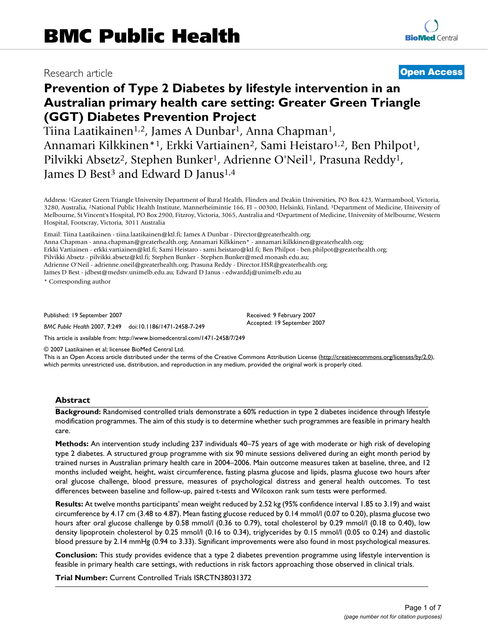# Research article **[Open Access](http://www.biomedcentral.com/info/about/charter/)**

# **Prevention of Type 2 Diabetes by lifestyle intervention in an Australian primary health care setting: Greater Green Triangle (GGT) Diabetes Prevention Project**

Tiina Laatikainen1,2, James A Dunbar1, Anna Chapman1, Annamari Kilkkinen\*<sup>1</sup>, Erkki Vartiainen<sup>2</sup>, Sami Heistaro<sup>1,2</sup>, Ben Philpot<sup>1</sup>, Pilvikki Absetz<sup>2</sup>, Stephen Bunker<sup>1</sup>, Adrienne O'Neil<sup>1</sup>, Prasuna Reddy<sup>1</sup>, James D Best<sup>3</sup> and Edward D Janus<sup>1,4</sup>

Address: 1Greater Green Triangle University Department of Rural Health, Flinders and Deakin Universities, PO Box 423, Warrnambool, Victoria, 3280, Australia, 2National Public Health Institute, Mannerheimintie 166, FI – 00300, Helsinki, Finland, 3Department of Medicine, University of Melbourne, St Vincent's Hospital, PO Box 2900, Fitzroy, Victoria, 3065, Australia and 4Department of Medicine, University of Melbourne, Western Hospital, Footscray, Victoria, 3011 Australia

Email: Tiina Laatikainen - tiina.laatikainen@ktl.fi; James A Dunbar - Director@greaterhealth.org; Anna Chapman - anna.chapman@greaterhealth.org; Annamari Kilkkinen\* - annamari.kilkkinen@greaterhealth.org; Erkki Vartiainen - erkki.vartiainen@ktl.fi; Sami Heistaro - sami.heistaro@ktl.fi; Ben Philpot - ben.philpot@greaterhealth.org; Pilvikki Absetz - pilvikki.absetz@ktl.fi; Stephen Bunker - Stephen.Bunker@med.monash.edu.au; Adrienne O'Neil - adrienne.oneil@greaterhealth.org; Prasuna Reddy - Director.HSR@greaterhealth.org; James D Best - jdbest@medstv.unimelb.edu.au; Edward D Janus - edwarddj@unimelb.edu.au

\* Corresponding author

Published: 19 September 2007

*BMC Public Health* 2007, **7**:249 doi:10.1186/1471-2458-7-249

[This article is available from: http://www.biomedcentral.com/1471-2458/7/249](http://www.biomedcentral.com/1471-2458/7/249)

© 2007 Laatikainen et al; licensee BioMed Central Ltd.

This is an Open Access article distributed under the terms of the Creative Commons Attribution License [\(http://creativecommons.org/licenses/by/2.0\)](http://creativecommons.org/licenses/by/2.0), which permits unrestricted use, distribution, and reproduction in any medium, provided the original work is properly cited.

Received: 9 February 2007 Accepted: 19 September 2007

#### **Abstract**

**Background:** Randomised controlled trials demonstrate a 60% reduction in type 2 diabetes incidence through lifestyle modification programmes. The aim of this study is to determine whether such programmes are feasible in primary health care.

**Methods:** An intervention study including 237 individuals 40–75 years of age with moderate or high risk of developing type 2 diabetes. A structured group programme with six 90 minute sessions delivered during an eight month period by trained nurses in Australian primary health care in 2004–2006. Main outcome measures taken at baseline, three, and 12 months included weight, height, waist circumference, fasting plasma glucose and lipids, plasma glucose two hours after oral glucose challenge, blood pressure, measures of psychological distress and general health outcomes. To test differences between baseline and follow-up, paired t-tests and Wilcoxon rank sum tests were performed.

**Results:** At twelve months participants' mean weight reduced by 2.52 kg (95% confidence interval 1.85 to 3.19) and waist circumference by 4.17 cm (3.48 to 4.87). Mean fasting glucose reduced by 0.14 mmol/l (0.07 to 0.20), plasma glucose two hours after oral glucose challenge by 0.58 mmol/l (0.36 to 0.79), total cholesterol by 0.29 mmol/l (0.18 to 0.40), low density lipoprotein cholesterol by 0.25 mmol/l (0.16 to 0.34), triglycerides by 0.15 mmol/l (0.05 to 0.24) and diastolic blood pressure by 2.14 mmHg (0.94 to 3.33). Significant improvements were also found in most psychological measures.

**Conclusion:** This study provides evidence that a type 2 diabetes prevention programme using lifestyle intervention is feasible in primary health care settings, with reductions in risk factors approaching those observed in clinical trials.

**Trial Number:** Current Controlled Trials ISRCTN38031372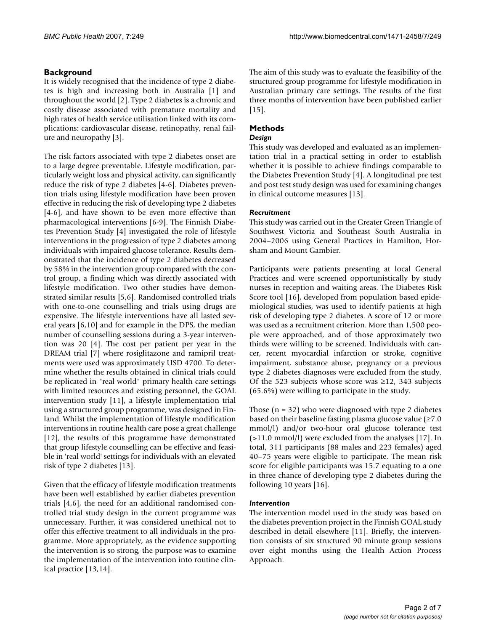# **Background**

It is widely recognised that the incidence of type 2 diabetes is high and increasing both in Australia [1] and throughout the world [2]. Type 2 diabetes is a chronic and costly disease associated with premature mortality and high rates of health service utilisation linked with its complications: cardiovascular disease, retinopathy, renal failure and neuropathy [3].

The risk factors associated with type 2 diabetes onset are to a large degree preventable. Lifestyle modification, particularly weight loss and physical activity, can significantly reduce the risk of type 2 diabetes [4-6]. Diabetes prevention trials using lifestyle modification have been proven effective in reducing the risk of developing type 2 diabetes [4-6], and have shown to be even more effective than pharmacological interventions [6-9]. The Finnish Diabetes Prevention Study [4] investigated the role of lifestyle interventions in the progression of type 2 diabetes among individuals with impaired glucose tolerance. Results demonstrated that the incidence of type 2 diabetes decreased by 58% in the intervention group compared with the control group, a finding which was directly associated with lifestyle modification. Two other studies have demonstrated similar results [5,6]. Randomised controlled trials with one-to-one counselling and trials using drugs are expensive. The lifestyle interventions have all lasted several years [6,10] and for example in the DPS, the median number of counselling sessions during a 3-year intervention was 20 [4]. The cost per patient per year in the DREAM trial [7] where rosiglitazone and ramipril treatments were used was approximately USD 4700. To determine whether the results obtained in clinical trials could be replicated in "real world" primary health care settings with limited resources and existing personnel, the GOAL intervention study [11], a lifestyle implementation trial using a structured group programme, was designed in Finland. Whilst the implementation of lifestyle modification interventions in routine health care pose a great challenge [12], the results of this programme have demonstrated that group lifestyle counselling can be effective and feasible in 'real world' settings for individuals with an elevated risk of type 2 diabetes [13].

Given that the efficacy of lifestyle modification treatments have been well established by earlier diabetes prevention trials [4,6], the need for an additional randomised controlled trial study design in the current programme was unnecessary. Further, it was considered unethical not to offer this effective treatment to all individuals in the programme. More appropriately, as the evidence supporting the intervention is so strong, the purpose was to examine the implementation of the intervention into routine clinical practice [13,14].

The aim of this study was to evaluate the feasibility of the structured group programme for lifestyle modification in Australian primary care settings. The results of the first three months of intervention have been published earlier [15].

# **Methods**

## *Design*

This study was developed and evaluated as an implementation trial in a practical setting in order to establish whether it is possible to achieve findings comparable to the Diabetes Prevention Study [4]. A longitudinal pre test and post test study design was used for examining changes in clinical outcome measures [13].

# *Recruitment*

This study was carried out in the Greater Green Triangle of Southwest Victoria and Southeast South Australia in 2004–2006 using General Practices in Hamilton, Horsham and Mount Gambier.

Participants were patients presenting at local General Practices and were screened opportunistically by study nurses in reception and waiting areas. The Diabetes Risk Score tool [16], developed from population based epidemiological studies, was used to identify patients at high risk of developing type 2 diabetes. A score of 12 or more was used as a recruitment criterion. More than 1,500 people were approached, and of those approximately two thirds were willing to be screened. Individuals with cancer, recent myocardial infarction or stroke, cognitive impairment, substance abuse, pregnancy or a previous type 2 diabetes diagnoses were excluded from the study. Of the 523 subjects whose score was  $\geq$ 12, 343 subjects (65.6%) were willing to participate in the study.

Those  $(n = 32)$  who were diagnosed with type 2 diabetes based on their baseline fasting plasma glucose value  $(\geq 7.0)$ mmol/l) and/or two-hour oral glucose tolerance test (>11.0 mmol/l) were excluded from the analyses [17]. In total, 311 participants (88 males and 223 females) aged 40–75 years were eligible to participate. The mean risk score for eligible participants was 15.7 equating to a one in three chance of developing type 2 diabetes during the following 10 years [16].

## *Intervention*

The intervention model used in the study was based on the diabetes prevention project in the Finnish GOAL study described in detail elsewhere [11]. Briefly, the intervention consists of six structured 90 minute group sessions over eight months using the Health Action Process Approach.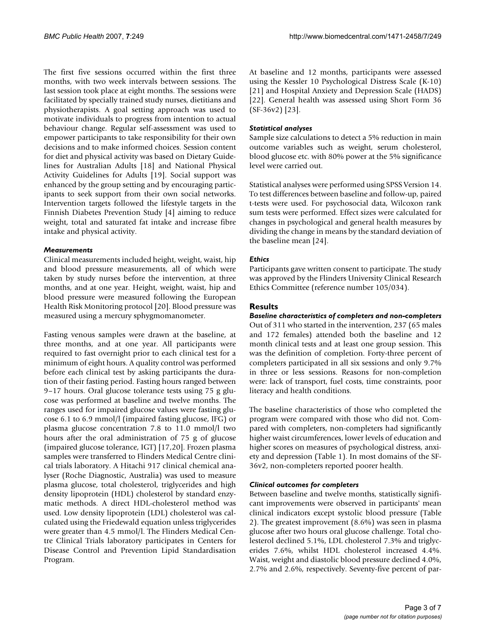The first five sessions occurred within the first three months, with two week intervals between sessions. The last session took place at eight months. The sessions were facilitated by specially trained study nurses, dietitians and physiotherapists. A goal setting approach was used to motivate individuals to progress from intention to actual behaviour change. Regular self-assessment was used to empower participants to take responsibility for their own decisions and to make informed choices. Session content for diet and physical activity was based on Dietary Guidelines for Australian Adults [18] and National Physical Activity Guidelines for Adults [19]. Social support was enhanced by the group setting and by encouraging participants to seek support from their own social networks. Intervention targets followed the lifestyle targets in the Finnish Diabetes Prevention Study [4] aiming to reduce weight, total and saturated fat intake and increase fibre intake and physical activity.

## *Measurements*

Clinical measurements included height, weight, waist, hip and blood pressure measurements, all of which were taken by study nurses before the intervention, at three months, and at one year. Height, weight, waist, hip and blood pressure were measured following the European Health Risk Monitoring protocol [20]. Blood pressure was measured using a mercury sphygmomanometer.

Fasting venous samples were drawn at the baseline, at three months, and at one year. All participants were required to fast overnight prior to each clinical test for a minimum of eight hours. A quality control was performed before each clinical test by asking participants the duration of their fasting period. Fasting hours ranged between 9–17 hours. Oral glucose tolerance tests using 75 g glucose was performed at baseline and twelve months. The ranges used for impaired glucose values were fasting glucose 6.1 to 6.9 mmol/l (impaired fasting glucose, IFG) or plasma glucose concentration 7.8 to 11.0 mmol/l two hours after the oral administration of 75 g of glucose (impaired glucose tolerance, IGT) [17,20]. Frozen plasma samples were transferred to Flinders Medical Centre clinical trials laboratory. A Hitachi 917 clinical chemical analyser (Roche Diagnostic, Australia) was used to measure plasma glucose, total cholesterol, triglycerides and high density lipoprotein (HDL) cholesterol by standard enzymatic methods. A direct HDL-cholesterol method was used. Low density lipoprotein (LDL) cholesterol was calculated using the Friedewald equation unless triglycerides were greater than 4.5 mmol/l. The Flinders Medical Centre Clinical Trials laboratory participates in Centers for Disease Control and Prevention Lipid Standardisation Program.

At baseline and 12 months, participants were assessed using the Kessler 10 Psychological Distress Scale (K-10) [21] and Hospital Anxiety and Depression Scale (HADS) [22]. General health was assessed using Short Form 36 (SF-36v2) [23].

# *Statistical analyses*

Sample size calculations to detect a 5% reduction in main outcome variables such as weight, serum cholesterol, blood glucose etc. with 80% power at the 5% significance level were carried out.

Statistical analyses were performed using SPSS Version 14. To test differences between baseline and follow-up, paired t-tests were used. For psychosocial data, Wilcoxon rank sum tests were performed. Effect sizes were calculated for changes in psychological and general health measures by dividing the change in means by the standard deviation of the baseline mean [24].

# *Ethics*

Participants gave written consent to participate. The study was approved by the Flinders University Clinical Research Ethics Committee (reference number 105/034).

# **Results**

*Baseline characteristics of completers and non-completers* Out of 311 who started in the intervention, 237 (65 males and 172 females) attended both the baseline and 12 month clinical tests and at least one group session. This was the definition of completion. Forty-three percent of completers participated in all six sessions and only 9.7% in three or less sessions. Reasons for non-completion were: lack of transport, fuel costs, time constraints, poor literacy and health conditions.

The baseline characteristics of those who completed the program were compared with those who did not. Compared with completers, non-completers had significantly higher waist circumferences, lower levels of education and higher scores on measures of psychological distress, anxiety and depression (Table 1). In most domains of the SF-36v2, non-completers reported poorer health.

## *Clinical outcomes for completers*

Between baseline and twelve months, statistically significant improvements were observed in participants' mean clinical indicators except systolic blood pressure (Table 2). The greatest improvement (8.6%) was seen in plasma glucose after two hours oral glucose challenge. Total cholesterol declined 5.1%, LDL cholesterol 7.3% and triglycerides 7.6%, whilst HDL cholesterol increased 4.4%. Waist, weight and diastolic blood pressure declined 4.0%, 2.7% and 2.6%, respectively. Seventy-five percent of par-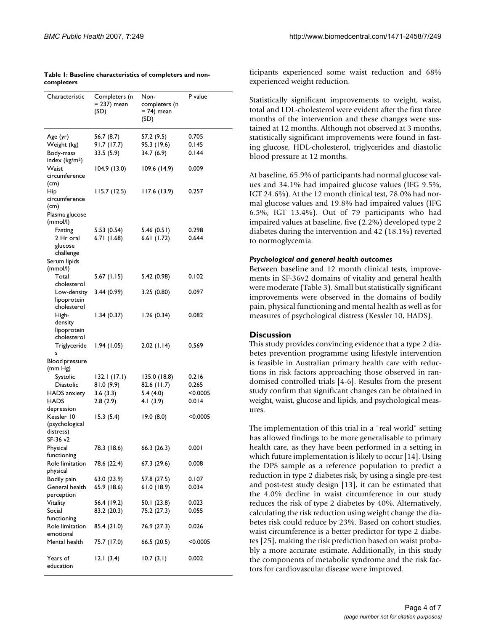| Characteristic              | Completers (n<br>= 237) mean<br>(SD) | Non-<br>completers (n<br>$= 74$ ) mean<br>(SD) | P value  |
|-----------------------------|--------------------------------------|------------------------------------------------|----------|
| Age (yr)                    | 56.7 (8.7)                           | 57.2 (9.5)                                     | 0.705    |
| Weight (kg)                 | 91.7(17.7)                           | 95.3 (19.6)                                    | 0.145    |
| Body-mass                   | 33.5(5.9)                            | 34.7 (6.9)                                     | 0.144    |
| index (kg/m <sup>2</sup> )  |                                      |                                                |          |
| Waist                       | 104.9(13.0)                          | 109.6 (14.9)                                   | 0.009    |
| circumference               |                                      |                                                |          |
| (cm)                        |                                      |                                                |          |
| Hip                         | 115.7 (12.5)                         | 117.6 (13.9)                                   | 0.257    |
| circumference               |                                      |                                                |          |
| (cm)                        |                                      |                                                |          |
| Plasma glucose              |                                      |                                                |          |
| (mmol/l)<br>Fasting         |                                      |                                                | 0.298    |
| 2 Hr oral                   | 5.53(0.54)<br>6.71(1.68)             | 5.46(0.51)<br>6.61(1.72)                       | 0.644    |
| glucose                     |                                      |                                                |          |
| challenge                   |                                      |                                                |          |
| Serum lipids                |                                      |                                                |          |
| (mmol/l)                    |                                      |                                                |          |
| Total                       | 5.67(1.15)                           | 5.42 (0.98)                                    | 0.102    |
| cholesterol                 |                                      |                                                |          |
| Low-density                 | 3.44(0.99)                           | 3.25(0.80)                                     | 0.097    |
| lipoprotein                 |                                      |                                                |          |
| cholesterol                 |                                      |                                                |          |
| High-                       | 1.34(0.37)                           | 1.26(0.34)                                     | 0.082    |
| density<br>lipoprotein      |                                      |                                                |          |
| cholesterol                 |                                      |                                                |          |
| Triglyceride                | 1.94(1.05)                           | 2.02(1.14)                                     | 0.569    |
| s                           |                                      |                                                |          |
| Blood pressure              |                                      |                                                |          |
| (mm Hg)                     |                                      |                                                |          |
| Systolic                    | 132.1(17.1)                          | 135.0 (18.8)                                   | 0.216    |
| <b>Diastolic</b>            | 81.0 (9.9)                           | 82.6 (11.7)                                    | 0.265    |
| HADS anxiety                | 3.6(3.3)                             | 5.4(4.0)                                       | < 0.0005 |
| HADS                        | 2.8(2.9)                             | 4.1(3.9)                                       | 0.014    |
| depression                  |                                      |                                                |          |
| Kessler 10                  | 15.3(5.4)                            | 19.0(8.0)                                      | < 0.0005 |
| (psychological<br>distress) |                                      |                                                |          |
| SF-36 v2                    |                                      |                                                |          |
| Physical                    | 78.3 (18.6)                          | 66.3(26.3)                                     | 0.001    |
| functioning                 |                                      |                                                |          |
| Role limitation             | 78.6 (22.4)                          | 67.3 (29.6)                                    | 0.008    |
| physical                    |                                      |                                                |          |
| Bodily pain                 | 63.0 (23.9)                          | 57.8 (27.5)                                    | 0.107    |
| General health              | 65.9 (18.6)                          | 61.0(18.9)                                     | 0.034    |
| perception                  |                                      |                                                |          |
| Vitality                    | 56.4 (19.2)                          | 50.1 (23.8)                                    | 0.023    |
| Social                      | 83.2 (20.3)                          | 75.2 (27.3)                                    | 0.055    |
| functioning                 |                                      |                                                |          |
| Role limitation             | 85.4 (21.0)                          | 76.9 (27.3)                                    | 0.026    |
| emotional                   |                                      |                                                |          |
| Mental health               | 75.7 (17.0)                          | 66.5 (20.5)                                    | <0.0005  |
| Years of<br>education       | 12.1(3.4)                            | 10.7(3.1)                                      | 0.002    |

#### **Table 1: Baseline characteristics of completers and noncompleters**

ticipants experienced some waist reduction and 68% experienced weight reduction.

Statistically significant improvements to weight, waist, total and LDL-cholesterol were evident after the first three months of the intervention and these changes were sustained at 12 months. Although not observed at 3 months, statistically significant improvements were found in fasting glucose, HDL-cholesterol, triglycerides and diastolic blood pressure at 12 months.

At baseline, 65.9% of participants had normal glucose values and 34.1% had impaired glucose values (IFG 9.5%, IGT 24.6%). At the 12 month clinical test, 78.0% had normal glucose values and 19.8% had impaired values (IFG 6.5%, IGT 13.4%). Out of 79 participants who had impaired values at baseline, five (2.2%) developed type 2 diabetes during the intervention and 42 (18.1%) reverted to normoglycemia.

#### *Psychological and general health outcomes*

Between baseline and 12 month clinical tests, improvements in SF-36v2 domains of vitality and general health were moderate (Table 3). Small but statistically significant improvements were observed in the domains of bodily pain, physical functioning and mental health as well as for measures of psychological distress (Kessler 10, HADS).

## **Discussion**

This study provides convincing evidence that a type 2 diabetes prevention programme using lifestyle intervention is feasible in Australian primary health care with reductions in risk factors approaching those observed in randomised controlled trials [4-6]. Results from the present study confirm that significant changes can be obtained in weight, waist, glucose and lipids, and psychological measures.

The implementation of this trial in a "real world" setting has allowed findings to be more generalisable to primary health care, as they have been performed in a setting in which future implementation is likely to occur [14]. Using the DPS sample as a reference population to predict a reduction in type 2 diabetes risk, by using a single pre-test and post-test study design [13], it can be estimated that the 4.0% decline in waist circumference in our study reduces the risk of type 2 diabetes by 40%. Alternatively, calculating the risk reduction using weight change the diabetes risk could reduce by 23%. Based on cohort studies, waist circumference is a better predictor for type 2 diabetes [25], making the risk prediction based on waist probably a more accurate estimate. Additionally, in this study the components of metabolic syndrome and the risk factors for cardiovascular disease were improved.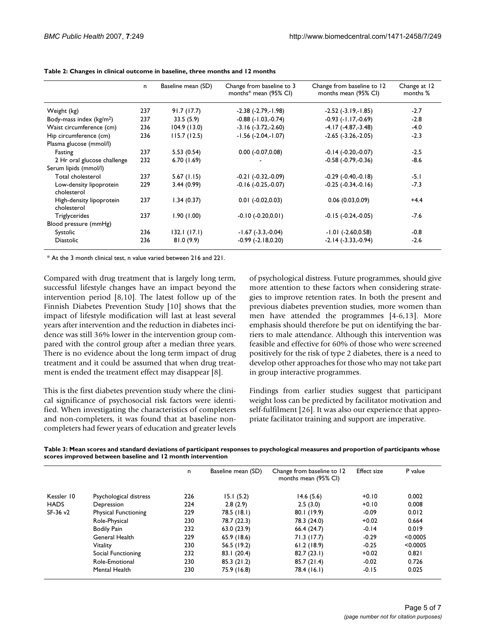|                                         | n.  | Baseline mean (SD) | Change from baseline to 3<br>months* mean (95% CI) | Change from baseline to 12<br>months mean (95% CI) | Change at 12<br>months % |
|-----------------------------------------|-----|--------------------|----------------------------------------------------|----------------------------------------------------|--------------------------|
| Weight (kg)                             | 237 | 91.7(17.7)         | $-2.38$ ( $-2.79$ , $-1.98$ )                      | $-2.52$ ( $-3.19,-1.85$ )                          | $-2.7$                   |
| Body-mass index $(kg/m2)$               | 237 | 33.5(5.9)          | $-0.88$ $(-1.03,-0.74)$                            | $-0.93$ $(-1.17,-0.69)$                            | $-2.8$                   |
| Waist circumference (cm)                | 236 | 104.9(13.0)        | $-3.16(-3.72,-2.60)$                               | $-4.17(-4.87,-3.48)$                               | $-4.0$                   |
| Hip circumference (cm)                  | 236 | 115.7(12.5)        | $-1.56$ $(-2.04,-1.07)$                            | $-2.65$ $(-3.26,-2.05)$                            | $-2.3$                   |
| Plasma glucose (mmol/l)                 |     |                    |                                                    |                                                    |                          |
| Fasting                                 | 237 | 5.53(0.54)         | $0.00 (-0.07, 0.08)$                               | $-0.14$ $(-0.20,-0.07)$                            | $-2.5$                   |
| 2 Hr oral glucose challenge             | 232 | 6.70(1.69)         |                                                    | $-0.58$ $(-0.79,-0.36)$                            | $-8.6$                   |
| Serum lipids (mmol/l)                   |     |                    |                                                    |                                                    |                          |
| Total cholesterol                       | 237 | 5.67(1.15)         | $-0.21$ $(-0.32,-0.09)$                            | $-0.29$ $(-0.40,-0.18)$                            | $-5.1$                   |
| Low-density lipoprotein<br>cholesterol  | 229 | 3.44(0.99)         | $-0.16(-0.25,-0.07)$                               | $-0.25$ $(-0.34,-0.16)$                            | $-7.3$                   |
| High-density lipoprotein<br>cholesterol | 237 | 1.34(0.37)         | $0.01$ ( $-0.02,0.03$ )                            | 0.06(0.03,0.09)                                    | $+4.4$                   |
| Triglycerides                           | 237 | 1.90(1.00)         | $-0.10(-0.20,0.01)$                                | $-0.15$ $(-0.24,-0.05)$                            | $-7.6$                   |
| Blood pressure (mmHg)                   |     |                    |                                                    |                                                    |                          |
| Systolic                                | 236 | 132.1(17.1)        | $-1.67$ ( $-3.3,-0.04$ )                           | $-1.01$ ( $-2.60,0.58$ )                           | $-0.8$                   |
| <b>Diastolic</b>                        | 236 | 81.0(9.9)          | $-0.99$ $(-2.18, 0.20)$                            | $-2.14(-3.33,-0.94)$                               | $-2.6$                   |

**Table 2: Changes in clinical outcome in baseline, three months and 12 months**

\* At the 3 month clinical test, n value varied between 216 and 221.

Compared with drug treatment that is largely long term, successful lifestyle changes have an impact beyond the intervention period [8,10]. The latest follow up of the Finnish Diabetes Prevention Study [10] shows that the impact of lifestyle modification will last at least several years after intervention and the reduction in diabetes incidence was still 36% lower in the intervention group compared with the control group after a median three years. There is no evidence about the long term impact of drug treatment and it could be assumed that when drug treatment is ended the treatment effect may disappear [8].

This is the first diabetes prevention study where the clinical significance of psychosocial risk factors were identified. When investigating the characteristics of completers and non-completers, it was found that at baseline noncompleters had fewer years of education and greater levels of psychological distress. Future programmes, should give more attention to these factors when considering strategies to improve retention rates. In both the present and previous diabetes prevention studies, more women than men have attended the programmes [4-6,13]. More emphasis should therefore be put on identifying the barriers to male attendance. Although this intervention was feasible and effective for 60% of those who were screened positively for the risk of type 2 diabetes, there is a need to develop other approaches for those who may not take part in group interactive programmes.

Findings from earlier studies suggest that participant weight loss can be predicted by facilitator motivation and self-fulfilment [26]. It was also our experience that appropriate facilitator training and support are imperative.

**Table 3: Mean scores and standard deviations of participant responses to psychological measures and proportion of participants whose scores improved between baseline and 12 month intervention**

|             |                        | n.  | Baseline mean (SD) | Change from baseline to 12<br>months mean (95% CI) | <b>Effect size</b> | P value  |
|-------------|------------------------|-----|--------------------|----------------------------------------------------|--------------------|----------|
| Kessler 10  | Psychological distress | 226 | 15.1(5.2)          | 14.6(5.6)                                          | $+0.10$            | 0.002    |
| <b>HADS</b> | Depression             | 224 | 2.8(2.9)           | 2.5(3.0)                                           | $+0.10$            | 0.008    |
| SF-36 v2    | Physical Functioning   | 229 | 78.5 (18.1)        | 80.1 (19.9)                                        | $-0.09$            | 0.012    |
|             | Role-Physical          | 230 | 78.7 (22.3)        | 78.3 (24.0)                                        | $+0.02$            | 0.664    |
|             | <b>Bodily Pain</b>     | 232 | 63.0 (23.9)        | 66.4(24.7)                                         | $-0.14$            | 0.019    |
|             | General Health         | 229 | 65.9 (18.6)        | 71.3(17.7)                                         | $-0.29$            | < 0.0005 |
|             | <b>Vitality</b>        | 230 | 56.5 (19.2)        | 61.2(18.9)                                         | $-0.25$            | < 0.0005 |
|             | Social Functioning     | 232 | 83.1(20.4)         | 82.7(23.1)                                         | $+0.02$            | 0.821    |
|             | Role-Emotional         | 230 | 85.3(21.2)         | 85.7(21.4)                                         | $-0.02$            | 0.726    |
|             | Mental Health          | 230 | 75.9 (16.8)        | 78.4 (16.1)                                        | $-0.15$            | 0.025    |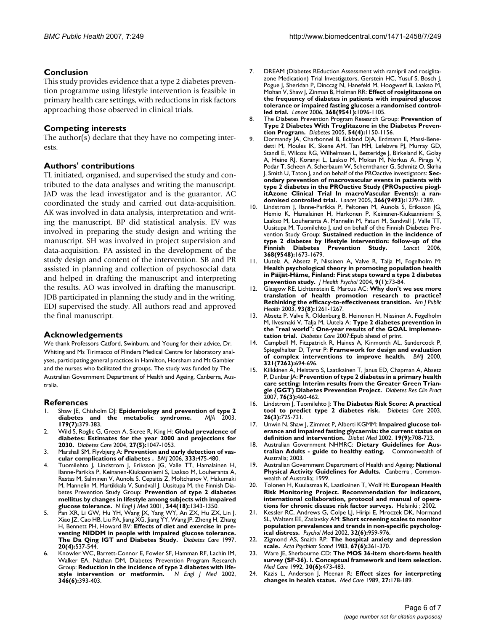## **Conclusion**

This study provides evidence that a type 2 diabetes prevention programme using lifestyle intervention is feasible in primary health care settings, with reductions in risk factors approaching those observed in clinical trials.

#### **Competing interests**

The author(s) declare that they have no competing interests.

#### **Authors' contributions**

TL initiated, organised, and supervised the study and contributed to the data analyses and writing the manuscript. JAD was the lead investigator and is the guarantor. AC coordinated the study and carried out data-acquisition. AK was involved in data analysis, interpretation and writing the manuscript. BP did statistical analysis. EV was involved in preparing the study design and writing the manuscript. SH was involved in project supervision and data-acquisition. PA assisted in the development of the study design and content of the intervention. SB and PR assisted in planning and collection of psychosocial data and helped in drafting the manuscript and interpreting the results. AO was involved in drafting the manuscript. JDB participated in planning the study and in the writing. EDJ supervised the study. All authors read and approved the final manuscript.

#### **Acknowledgements**

We thank Professors Catford, Swinburn, and Young for their advice, Dr. Whiting and Ms Tirimacco of Flinders Medical Centre for laboratory analyses, participating general practices in Hamilton, Horsham and Mt Gambier and the nurses who facilitated the groups. The study was funded by The Australian Government Department of Health and Ageing, Canberra, Australia.

#### **References**

- Shaw JE, Chisholm DJ: [Epidemiology and prevention of type 2](http://www.ncbi.nlm.nih.gov/entrez/query.fcgi?cmd=Retrieve&db=PubMed&dopt=Abstract&list_uids=14503906) **[diabetes and the metabolic syndrome.](http://www.ncbi.nlm.nih.gov/entrez/query.fcgi?cmd=Retrieve&db=PubMed&dopt=Abstract&list_uids=14503906)** *MJA* 2003, **179(7):**379-383.
- 2. Wild S, Roglic G, Green A, Sicree R, King H: **[Global prevalence of](http://www.ncbi.nlm.nih.gov/entrez/query.fcgi?cmd=Retrieve&db=PubMed&dopt=Abstract&list_uids=15111519) [diabetes: Estimates for the year 2000 and projections for](http://www.ncbi.nlm.nih.gov/entrez/query.fcgi?cmd=Retrieve&db=PubMed&dopt=Abstract&list_uids=15111519) [2030.](http://www.ncbi.nlm.nih.gov/entrez/query.fcgi?cmd=Retrieve&db=PubMed&dopt=Abstract&list_uids=15111519)** *Diabetes Care* 2004, **27(5):**1047-1053.
- 3. Marshall SM, Flyvbjerg A: **[Prevention and early detection of vas](http://www.ncbi.nlm.nih.gov/entrez/query.fcgi?cmd=Retrieve&db=PubMed&dopt=Abstract&list_uids=16946335)[cular complications of diabetes .](http://www.ncbi.nlm.nih.gov/entrez/query.fcgi?cmd=Retrieve&db=PubMed&dopt=Abstract&list_uids=16946335)** *BMJ* 2006, **333:**475-480.
- Tuomilehto J, Lindstrom J, Eriksson JG, Valle TT, Hamalainen H, Ilanne-Parikka P, Keinanen-Kiukaanniemi S, Laakso M, Louheranta A, Rastas M, Salminen V, Aunola S, Cepaitis Z, Moltchanov V, Hakumaki M, Mannelin M, Martikkala V, Sundvall J, Uusitupa M, the Finnish Diabetes Prevention Study Group: **[Prevention of type 2 diabetes](http://www.ncbi.nlm.nih.gov/entrez/query.fcgi?cmd=Retrieve&db=PubMed&dopt=Abstract&list_uids=11333990) [mellitus by changes in lifestyle among subjects with impaired](http://www.ncbi.nlm.nih.gov/entrez/query.fcgi?cmd=Retrieve&db=PubMed&dopt=Abstract&list_uids=11333990) [glucose tolerance.](http://www.ncbi.nlm.nih.gov/entrez/query.fcgi?cmd=Retrieve&db=PubMed&dopt=Abstract&list_uids=11333990)** *N Engl J Med* 2001, **344(18):**1343-1350.
- 5. Pan XR, Li GW, Hu YH, Wang JX, Yang WY, An ZX, Hu ZX, Lin J, Xiao JZ, Cao HB, Liu PA, Jiang XG, Jiang YY, Wang JP, Zheng H, Zhang H, Bennett PH, Howard BV: **[Effects of diet and exercise in pre](http://www.ncbi.nlm.nih.gov/entrez/query.fcgi?cmd=Retrieve&db=PubMed&dopt=Abstract&list_uids=9096977)[venting NIDDM in people with impaired glucose tolerance.](http://www.ncbi.nlm.nih.gov/entrez/query.fcgi?cmd=Retrieve&db=PubMed&dopt=Abstract&list_uids=9096977) [The Da Qing IGT and Diabetes Study.](http://www.ncbi.nlm.nih.gov/entrez/query.fcgi?cmd=Retrieve&db=PubMed&dopt=Abstract&list_uids=9096977)** *Diabetes Care* 1997, **20(4):**537-544.
- 6. Knowler WC, Barrett-Connor E, Fowler SF, Hamman RF, Lachin IM, Walker EA, Nathan DM, Diabetes Prevention Program Research Group: **[Reduction in the incidence of type 2 diabetes with life](http://www.ncbi.nlm.nih.gov/entrez/query.fcgi?cmd=Retrieve&db=PubMed&dopt=Abstract&list_uids=11832527)[style intervention or metformin.](http://www.ncbi.nlm.nih.gov/entrez/query.fcgi?cmd=Retrieve&db=PubMed&dopt=Abstract&list_uids=11832527)** *N Engl J Med* 2002, **346(6):**393-403.
- 7. DREAM (Diabetes REduction Assessment with ramipril and rosiglitazone Medication) Trial Investigators, Gerstein HC, Yusuf S, Bosch J, Pogue J, Sheridan P, Dinccag N, Hanefeld M, Hoogwerf B, Laakso M, Mohan V, Shaw J, Zinman B, Holman RR: **[Effect of rosiglitazone on](http://www.ncbi.nlm.nih.gov/entrez/query.fcgi?cmd=Retrieve&db=PubMed&dopt=Abstract&list_uids=16997664) the frequency of diabetes in patients with impaired glucose [tolerance or impaired fasting glucose: a randomised control](http://www.ncbi.nlm.nih.gov/entrez/query.fcgi?cmd=Retrieve&db=PubMed&dopt=Abstract&list_uids=16997664)[led trial.](http://www.ncbi.nlm.nih.gov/entrez/query.fcgi?cmd=Retrieve&db=PubMed&dopt=Abstract&list_uids=16997664)** *Lancet* 2006, **368(9541):**1096-1105.
- 8. The Diabetes Prevention Program Research Group: **[Prevention of](http://www.ncbi.nlm.nih.gov/entrez/query.fcgi?cmd=Retrieve&db=PubMed&dopt=Abstract&list_uids=15793255) [Type 2 Diabetes With Troglitazone in the Diabetes Preven](http://www.ncbi.nlm.nih.gov/entrez/query.fcgi?cmd=Retrieve&db=PubMed&dopt=Abstract&list_uids=15793255)[tion Program.](http://www.ncbi.nlm.nih.gov/entrez/query.fcgi?cmd=Retrieve&db=PubMed&dopt=Abstract&list_uids=15793255)** *Diabetes* 2005, **54(4):**1150-1156.
- Dormandy JA, Charbonnel B, Eckland DJA, Erdmann E, Massi-Benedetti M, Moules IK, Skene AM, Tan MH, Lefebvre PJ, Murray GD, Standl E, Wilcox RG, Wilhelmsen L, Betteridge J, Birkeland K, Golay A, Heine RJ, Koranyi L, Laakso M, Mokan M, Norkus A, Pirags V, Podar T, Scheen A, Scherbaum W, Schernthaner G, Schmitz O, Skrha J, Smith U, Taton J, and on behalf of the PROactive investigators: **[Sec](http://www.ncbi.nlm.nih.gov/entrez/query.fcgi?cmd=Retrieve&db=PubMed&dopt=Abstract&list_uids=16214598)ondary prevention of macrovascular events in patients with [type 2 diabetes in the PROactive Study \(PROspective piogl](http://www.ncbi.nlm.nih.gov/entrez/query.fcgi?cmd=Retrieve&db=PubMed&dopt=Abstract&list_uids=16214598)itAzone Clinical Trial In macroVascular Events): a ran[domised controlled trial.](http://www.ncbi.nlm.nih.gov/entrez/query.fcgi?cmd=Retrieve&db=PubMed&dopt=Abstract&list_uids=16214598)** *Lancet* 2005, **366(9493):**1279-1289.
- 10. Lindstrom J, Ilanne-Parikka P, Peltonen M, Aunola S, Eriksson JG, Hemio K, Hamalainen H, Harkonen P, Keinanen-Kiukaanniemi S, Laakso M, Louheranta A, Mannelin M, Paturi M, Sundvall J, Valle TT, Uusitupa M, Tuomilehto J, and on behalf of the Finnish Diabetes Prevention Study Group: **[Sustained reduction in the incidence of](http://www.ncbi.nlm.nih.gov/entrez/query.fcgi?cmd=Retrieve&db=PubMed&dopt=Abstract&list_uids=17098085) [type 2 diabetes by lifestyle intervention: follow-up of the](http://www.ncbi.nlm.nih.gov/entrez/query.fcgi?cmd=Retrieve&db=PubMed&dopt=Abstract&list_uids=17098085) Finnish Diabetes 368(9548):**1673-1679.
- 11. Uutela A, Absetz P, Nissinen A, Valve R, Talja M, Fogelholm M: **Health psychological theory in promoting population health [in Päijät-Häme, Finland: First steps toward a type 2 diabetes](http://www.ncbi.nlm.nih.gov/entrez/query.fcgi?cmd=Retrieve&db=PubMed&dopt=Abstract&list_uids=14683570) [prevention study.](http://www.ncbi.nlm.nih.gov/entrez/query.fcgi?cmd=Retrieve&db=PubMed&dopt=Abstract&list_uids=14683570)** *J Health Psychol* 2004, **9(1):**73-84.
- 12. Glasgow RE, Lichtenstein E, Marcus AC: **[Why don't we see more](http://www.ncbi.nlm.nih.gov/entrez/query.fcgi?cmd=Retrieve&db=PubMed&dopt=Abstract&list_uids=12893608) [translation of health promotion research to practice?](http://www.ncbi.nlm.nih.gov/entrez/query.fcgi?cmd=Retrieve&db=PubMed&dopt=Abstract&list_uids=12893608) [Rethinking the efficacy-to-effectiveness transition.](http://www.ncbi.nlm.nih.gov/entrez/query.fcgi?cmd=Retrieve&db=PubMed&dopt=Abstract&list_uids=12893608)** *Am J Public Health* 2003, **93(8):**1261-1267.
- Absetz P, Valve R, Oldenburg B, Heinonen H, Nissinen A, Fogelholm M, Ilvesmaki V, Talja M, Uutela A: **Type 2 diabetes prevention in the "real world": One-year results of the GOAL implementation trial.** *Diabetes Care* 2007:Epub ahead of print.
- 14. Campbell M, Fitzpatrick R, Haines A, Kinmonth AL, Sandercock P, Spiegelhalter D, Tyrer P: **[Framework for design and evaluation](http://www.ncbi.nlm.nih.gov/entrez/query.fcgi?cmd=Retrieve&db=PubMed&dopt=Abstract&list_uids=10987780) [of complex interventions to improve health.](http://www.ncbi.nlm.nih.gov/entrez/query.fcgi?cmd=Retrieve&db=PubMed&dopt=Abstract&list_uids=10987780)** *BMJ* 2000, **321(7262):**694-696.
- 15. Kilkkinen A, Heistaro S, Laatikainen T, Janus ED, Chapman A, Absetz P, Dunbar JA: **[Prevention of type 2 diabetes in a primary health](http://www.ncbi.nlm.nih.gov/entrez/query.fcgi?cmd=Retrieve&db=PubMed&dopt=Abstract&list_uids=17069921) [care setting: Interim results from the Greater Green Trian](http://www.ncbi.nlm.nih.gov/entrez/query.fcgi?cmd=Retrieve&db=PubMed&dopt=Abstract&list_uids=17069921)[gle \(GGT\) Diabetes Prevention Project.](http://www.ncbi.nlm.nih.gov/entrez/query.fcgi?cmd=Retrieve&db=PubMed&dopt=Abstract&list_uids=17069921)** *Diabetes Res Clin Pract* 2007, **76(3):**460-462.
- 16. Lindstrom J, Tuomilehto J: **[The Diabetes Risk Score: A practical](http://www.ncbi.nlm.nih.gov/entrez/query.fcgi?cmd=Retrieve&db=PubMed&dopt=Abstract&list_uids=12610029) [tool to predict type 2 diabetes risk.](http://www.ncbi.nlm.nih.gov/entrez/query.fcgi?cmd=Retrieve&db=PubMed&dopt=Abstract&list_uids=12610029)** *Diabetes Care* 2003, **26(3):**725-731.
- 17. Unwin N, Shaw J, Zimmet P, Alberti KGMM: **[Impaired glucose tol](http://www.ncbi.nlm.nih.gov/entrez/query.fcgi?cmd=Retrieve&db=PubMed&dopt=Abstract&list_uids=12207806)[erance and impaired fasting glycaemia: the current status on](http://www.ncbi.nlm.nih.gov/entrez/query.fcgi?cmd=Retrieve&db=PubMed&dopt=Abstract&list_uids=12207806) [definition and intervention.](http://www.ncbi.nlm.nih.gov/entrez/query.fcgi?cmd=Retrieve&db=PubMed&dopt=Abstract&list_uids=12207806)** *Diabet Med* 2002, **19(9):**708-723.
- 18. Australian Government NHMRC: **Dietary Guidelines for Australian Adults - guide to healthy eating.** Commonwealth of Australia; 2003.
- 19. Australian Government Department of Health and Ageing: **National Physical Activity Guidelines for Adults.** Canberra , Commonwealth of Australia; 1999.
- 20. Tolonen H, Kuulasmaa K, Laatikainen T, Wolf H: **European Health Risk Monitoring Project. Recommendation for indicators, international collaboration, protocol and manual of operations for chronic disease risk factor surveys.** Helsinki ; 2002.
- 21. Kessler RC, Andrews G, Colpe LJ, Hiripi E, Mroczek DK, Normand SL, Walters EE, Zaslavsky AM: **[Short screening scales to monitor](http://www.ncbi.nlm.nih.gov/entrez/query.fcgi?cmd=Retrieve&db=PubMed&dopt=Abstract&list_uids=12214795) [population prevalences and trends in non-specific psycholog](http://www.ncbi.nlm.nih.gov/entrez/query.fcgi?cmd=Retrieve&db=PubMed&dopt=Abstract&list_uids=12214795)[ical distress.](http://www.ncbi.nlm.nih.gov/entrez/query.fcgi?cmd=Retrieve&db=PubMed&dopt=Abstract&list_uids=12214795)** *Psychol Med* 2002, **32(6):**959-976.
- 22. Zigmond AS, Snaith RP: **[The hospital anxiety and depression](http://www.ncbi.nlm.nih.gov/entrez/query.fcgi?cmd=Retrieve&db=PubMed&dopt=Abstract&list_uids=6880820) [scale.](http://www.ncbi.nlm.nih.gov/entrez/query.fcgi?cmd=Retrieve&db=PubMed&dopt=Abstract&list_uids=6880820)** *Acta Psychiatr Scand* 1983, **67(6):**361-370.
- 23. Ware JE, Sherbourne CD: **[The MOS 36-item short-form health](http://www.ncbi.nlm.nih.gov/entrez/query.fcgi?cmd=Retrieve&db=PubMed&dopt=Abstract&list_uids=1593914) [survey \(SF-36\). I. Conceptual framework and item selection.](http://www.ncbi.nlm.nih.gov/entrez/query.fcgi?cmd=Retrieve&db=PubMed&dopt=Abstract&list_uids=1593914)** *Med Care* 1992, **30(6):**473-483.
- 24. Kazis L, Anderson J, Meenan R: **Effect sizes for interpreting changes in health status.** *Med Care* 1989, **27:**178-189.